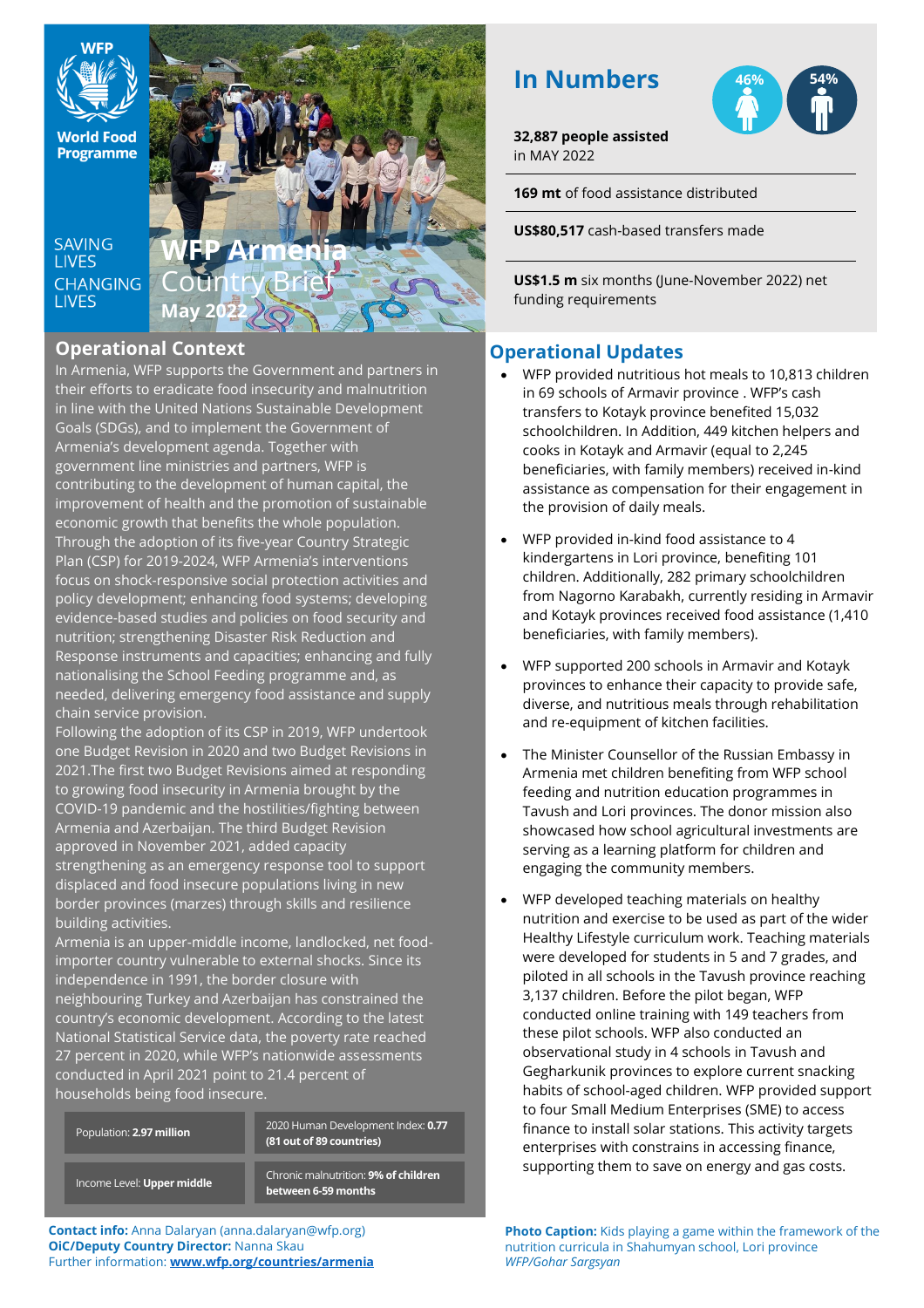

**World Food** Programme

**SAVING LIVES CHANGING LIVES** 

**WFP Armenia** Country Brief **May 2022**

# **Operational Context**

In Armenia, WFP supports the Government and partners in their efforts to eradicate food insecurity and malnutrition in line with the United Nations Sustainable Development Goals (SDGs), and to implement the Government of Armenia's development agenda. Together with government line ministries and partners, WFP is contributing to the development of human capital, the improvement of health and the promotion of sustainable economic growth that benefits the whole population. Through the adoption of its five-year Country Strategic Plan (CSP) for 2019-2024, WFP Armenia's interventions focus on shock-responsive social protection activities and policy development; enhancing food systems; developing evidence-based studies and policies on food security and nutrition; strengthening Disaster Risk Reduction and Response instruments and capacities; enhancing and fully nationalising the School Feeding programme and, as needed, delivering emergency food assistance and supply chain service provision.

Following the adoption of its CSP in 2019, WFP undertook one Budget Revision in 2020 and two Budget Revisions in 2021.The first two Budget Revisions aimed at responding to growing food insecurity in Armenia brought by the COVID-19 pandemic and the hostilities/fighting between Armenia and Azerbaijan. The third Budget Revision approved in November 2021, added capacity strengthening as an emergency response tool to support

displaced and food insecure populations living in new border provinces (marzes) through skills and resilience building activities.

Armenia is an upper-middle income, landlocked, net foodimporter country vulnerable to external shocks. Since its independence in 1991, the border closure with neighbouring Turkey and Azerbaijan has constrained the country's economic development. According to the latest National Statistical Service data, the poverty rate reached 27 percent in 2020, while WFP's nationwide assessments conducted in April 2021 point to 21.4 percent of households being food insecure.

| Chronic malnutrition: 9% of children<br>Income Level: Upper middle<br>between 6-59 months | Population: 2.97 million | 2020 Human Development Index: 0.77<br>(81 out of 89 countries) |
|-------------------------------------------------------------------------------------------|--------------------------|----------------------------------------------------------------|
|                                                                                           |                          |                                                                |

**Contact info:** Anna Dalaryan (anna.dalaryan@wfp.org) **OiC/Deputy Country Director:** Nanna Skau Further information: **[www.wfp.org/countries/armenia](http://www.wfp.org/countries/armenia)**

# **In Numbers**



**32,887 people assisted** in MAY 2022

**169 mt** of food assistance distributed

**US\$80,517** cash-based transfers made

**US\$1.5 m** six months (June-November 2022) net funding requirements

# **Operational Updates**

- WFP provided nutritious hot meals to 10,813 children in 69 schools of Armavir province . WFP's cash transfers to Kotayk province benefited 15,032 schoolchildren. In Addition, 449 kitchen helpers and cooks in Kotayk and Armavir (equal to 2,245 beneficiaries, with family members) received in-kind assistance as compensation for their engagement in the provision of daily meals.
- WFP provided in-kind food assistance to 4 kindergartens in Lori province, benefiting 101 children. Additionally, 282 primary schoolchildren from Nagorno Karabakh, currently residing in Armavir and Kotayk provinces received food assistance (1,410 beneficiaries, with family members).
- WFP supported 200 schools in Armavir and Kotayk provinces to enhance their capacity to provide safe, diverse, and nutritious meals through rehabilitation and re-equipment of kitchen facilities.
- The Minister Counsellor of the Russian Embassy in Armenia met children benefiting from WFP school feeding and nutrition education programmes in Tavush and Lori provinces. The donor mission also showcased how school agricultural investments are serving as a learning platform for children and engaging the community members.
- WFP developed teaching materials on healthy nutrition and exercise to be used as part of the wider Healthy Lifestyle curriculum work. Teaching materials were developed for students in 5 and 7 grades, and piloted in all schools in the Tavush province reaching 3,137 children. Before the pilot began, WFP conducted online training with 149 teachers from these pilot schools. WFP also conducted an observational study in 4 schools in Tavush and Gegharkunik provinces to explore current snacking habits of school-aged children. WFP provided support to four Small Medium Enterprises (SME) to access finance to install solar stations. This activity targets enterprises with constrains in accessing finance, supporting them to save on energy and gas costs.

**Photo Caption:** Kids playing a game within the framework of the nutrition curricula in Shahumyan school, Lori province *WFP/Gohar Sargsyan*